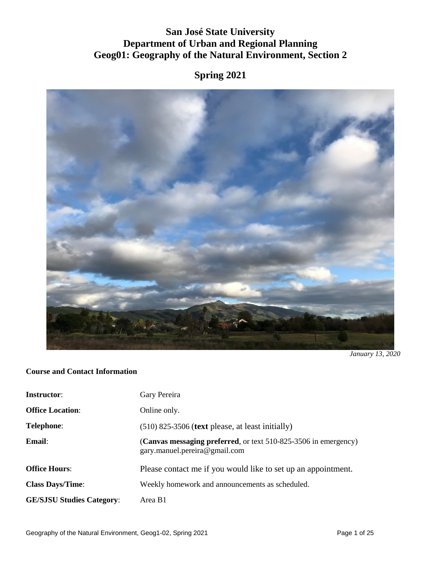# **San José State University Department of Urban and Regional Planning Geog01: Geography of the Natural Environment, Section 2**

# **Spring 2021**



*January 13, 2020* 

#### **Course and Contact Information**

| <b>Instructor:</b>               | Gary Pereira                                                                                     |
|----------------------------------|--------------------------------------------------------------------------------------------------|
| <b>Office Location:</b>          | Online only.                                                                                     |
| <b>Telephone:</b>                | $(510)$ 825-3506 (text please, at least initially)                                               |
| <b>Email:</b>                    | (Canvas messaging preferred, or text 510-825-3506 in emergency)<br>gary.manuel.pereira@gmail.com |
| <b>Office Hours:</b>             | Please contact me if you would like to set up an appointment.                                    |
| <b>Class Days/Time:</b>          | Weekly homework and announcements as scheduled.                                                  |
| <b>GE/SJSU Studies Category:</b> | Area B1                                                                                          |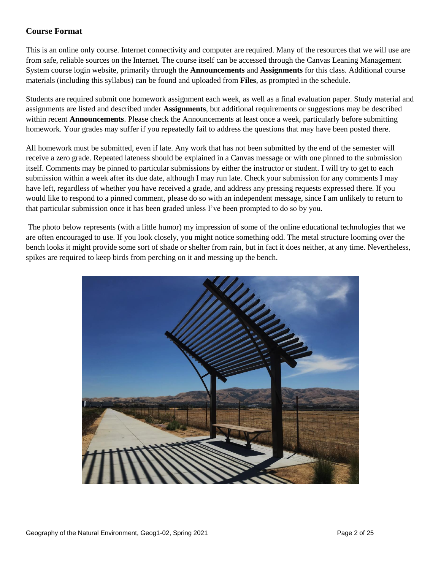# **Course Format**

This is an online only course. Internet connectivity and computer are required. Many of the resources that we will use are from safe, reliable sources on the Internet. The course itself can be accessed through the Canvas Leaning Management System course login website, primarily through the **Announcements** and **Assignments** for this class. Additional course materials (including this syllabus) can be found and uploaded from **Files**, as prompted in the schedule.

Students are required submit one homework assignment each week, as well as a final evaluation paper. Study material and assignments are listed and described under **Assignments**, but additional requirements or suggestions may be described within recent **Announcements**. Please check the Announcements at least once a week, particularly before submitting homework. Your grades may suffer if you repeatedly fail to address the questions that may have been posted there.

All homework must be submitted, even if late. Any work that has not been submitted by the end of the semester will receive a zero grade. Repeated lateness should be explained in a Canvas message or with one pinned to the submission itself. Comments may be pinned to particular submissions by either the instructor or student. I will try to get to each submission within a week after its due date, although I may run late. Check your submission for any comments I may have left, regardless of whether you have received a grade, and address any pressing requests expressed there. If you would like to respond to a pinned comment, please do so with an independent message, since I am unlikely to return to that particular submission once it has been graded unless I've been prompted to do so by you.

The photo below represents (with a little humor) my impression of some of the online educational technologies that we are often encouraged to use. If you look closely, you might notice something odd. The metal structure looming over the bench looks it might provide some sort of shade or shelter from rain, but in fact it does neither, at any time. Nevertheless, spikes are required to keep birds from perching on it and messing up the bench.

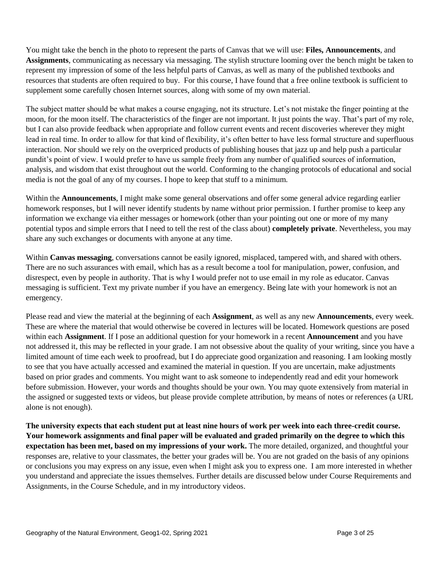You might take the bench in the photo to represent the parts of Canvas that we will use: **Files, Announcements**, and **Assignments**, communicating as necessary via messaging. The stylish structure looming over the bench might be taken to represent my impression of some of the less helpful parts of Canvas, as well as many of the published textbooks and resources that students are often required to buy. For this course, I have found that a free online textbook is sufficient to supplement some carefully chosen Internet sources, along with some of my own material.

The subject matter should be what makes a course engaging, not its structure. Let's not mistake the finger pointing at the moon, for the moon itself. The characteristics of the finger are not important. It just points the way. That's part of my role, but I can also provide feedback when appropriate and follow current events and recent discoveries wherever they might lead in real time. In order to allow for that kind of flexibility, it's often better to have less formal structure and superfluous interaction. Nor should we rely on the overpriced products of publishing houses that jazz up and help push a particular pundit's point of view. I would prefer to have us sample freely from any number of qualified sources of information, analysis, and wisdom that exist throughout out the world. Conforming to the changing protocols of educational and social media is not the goal of any of my courses. I hope to keep that stuff to a minimum.

Within the **Announcements**, I might make some general observations and offer some general advice regarding earlier homework responses, but I will never identify students by name without prior permission. I further promise to keep any information we exchange via either messages or homework (other than your pointing out one or more of my many potential typos and simple errors that I need to tell the rest of the class about) **completely private**. Nevertheless, you may share any such exchanges or documents with anyone at any time.

Within **Canvas messaging**, conversations cannot be easily ignored, misplaced, tampered with, and shared with others. There are no such assurances with email, which has as a result become a tool for manipulation, power, confusion, and disrespect, even by people in authority. That is why I would prefer not to use email in my role as educator. Canvas messaging is sufficient. Text my private number if you have an emergency. Being late with your homework is not an emergency.

Please read and view the material at the beginning of each **Assignment**, as well as any new **Announcements**, every week. These are where the material that would otherwise be covered in lectures will be located. Homework questions are posed within each **Assignment**. If I pose an additional question for your homework in a recent **Announcement** and you have not addressed it, this may be reflected in your grade. I am not obsessive about the quality of your writing, since you have a limited amount of time each week to proofread, but I do appreciate good organization and reasoning. I am looking mostly to see that you have actually accessed and examined the material in question. If you are uncertain, make adjustments based on prior grades and comments. You might want to ask someone to independently read and edit your homework before submission. However, your words and thoughts should be your own. You may quote extensively from material in the assigned or suggested texts or videos, but please provide complete attribution, by means of notes or references (a URL alone is not enough).

**The university expects that each student put at least nine hours of work per week into each three-credit course. Your homework assignments and final paper will be evaluated and graded primarily on the degree to which this expectation has been met, based on my impressions of your work.** The more detailed, organized, and thoughtful your responses are, relative to your classmates, the better your grades will be. You are not graded on the basis of any opinions or conclusions you may express on any issue, even when I might ask you to express one. I am more interested in whether you understand and appreciate the issues themselves. Further details are discussed below under Course Requirements and Assignments, in the Course Schedule, and in my introductory videos.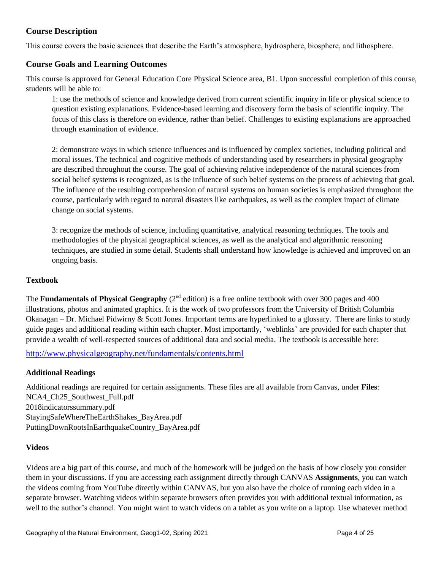# **Course Description**

This course covers the basic sciences that describe the Earth's atmosphere, hydrosphere, biosphere, and lithosphere.

# **Course Goals and Learning Outcomes**

This course is approved for General Education Core Physical Science area, B1. Upon successful completion of this course, students will be able to:

1: use the methods of science and knowledge derived from current scientific inquiry in life or physical science to question existing explanations. Evidence-based learning and discovery form the basis of scientific inquiry. The focus of this class is therefore on evidence, rather than belief. Challenges to existing explanations are approached through examination of evidence.

2: demonstrate ways in which science influences and is influenced by complex societies, including political and moral issues. The technical and cognitive methods of understanding used by researchers in physical geography are described throughout the course. The goal of achieving relative independence of the natural sciences from social belief systems is recognized, as is the influence of such belief systems on the process of achieving that goal. The influence of the resulting comprehension of natural systems on human societies is emphasized throughout the course, particularly with regard to natural disasters like earthquakes, as well as the complex impact of climate change on social systems.

3: recognize the methods of science, including quantitative, analytical reasoning techniques. The tools and methodologies of the physical geographical sciences, as well as the analytical and algorithmic reasoning techniques, are studied in some detail. Students shall understand how knowledge is achieved and improved on an ongoing basis.

#### **Textbook**

The **Fundamentals of Physical Geography** ( $2<sup>nd</sup>$  edition) is a free online textbook with over 300 pages and 400 illustrations, photos and animated graphics. It is the work of two professors from the University of British Columbia Okanagan – Dr. Michael Pidwirny & Scott Jones. Important terms are hyperlinked to a glossary. There are links to study guide pages and additional reading within each chapter. Most importantly, 'weblinks' are provided for each chapter that provide a wealth of well-respected sources of additional data and social media. The textbook is accessible here:

<http://www.physicalgeography.net/fundamentals/contents.html>

#### **Additional Readings**

Additional readings are required for certain assignments. These files are all available from Canvas, under **Files**: NCA4\_Ch25\_Southwest\_Full.pdf 2018indicatorssummary.pdf StayingSafeWhereTheEarthShakes\_BayArea.pdf PuttingDownRootsInEarthquakeCountry\_BayArea.pdf

#### **Videos**

Videos are a big part of this course, and much of the homework will be judged on the basis of how closely you consider them in your discussions. If you are accessing each assignment directly through CANVAS **Assignments**, you can watch the videos coming from YouTube directly within CANVAS, but you also have the choice of running each video in a separate browser. Watching videos within separate browsers often provides you with additional textual information, as well to the author's channel. You might want to watch videos on a tablet as you write on a laptop. Use whatever method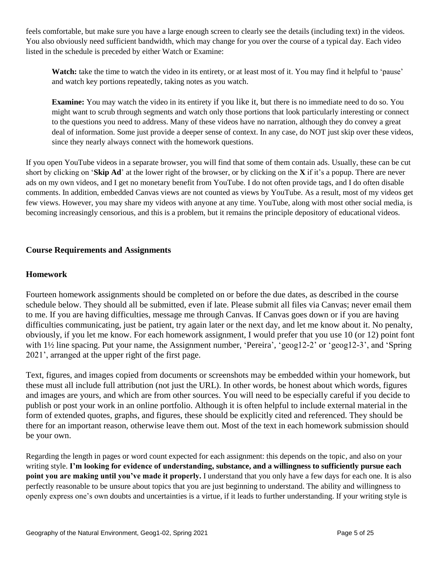feels comfortable, but make sure you have a large enough screen to clearly see the details (including text) in the videos. You also obviously need sufficient bandwidth, which may change for you over the course of a typical day. Each video listed in the schedule is preceded by either Watch or Examine:

Watch: take the time to watch the video in its entirety, or at least most of it. You may find it helpful to 'pause' and watch key portions repeatedly, taking notes as you watch.

**Examine:** You may watch the video in its entirety if you like it, but there is no immediate need to do so. You might want to scrub through segments and watch only those portions that look particularly interesting or connect to the questions you need to address. Many of these videos have no narration, although they do convey a great deal of information. Some just provide a deeper sense of context. In any case, do NOT just skip over these videos, since they nearly always connect with the homework questions.

If you open YouTube videos in a separate browser, you will find that some of them contain ads. Usually, these can be cut short by clicking on '**Skip Ad**' at the lower right of the browser, or by clicking on the **X** if it's a popup. There are never ads on my own videos, and I get no monetary benefit from YouTube. I do not often provide tags, and I do often disable comments. In addition, embedded Canvas views are not counted as views by YouTube. As a result, most of my videos get few views. However, you may share my videos with anyone at any time. YouTube, along with most other social media, is becoming increasingly censorious, and this is a problem, but it remains the principle depository of educational videos.

### **Course Requirements and Assignments**

#### **Homework**

Fourteen homework assignments should be completed on or before the due dates, as described in the course schedule below. They should all be submitted, even if late. Please submit all files via Canvas; never email them to me. If you are having difficulties, message me through Canvas. If Canvas goes down or if you are having difficulties communicating, just be patient, try again later or the next day, and let me know about it. No penalty, obviously, if you let me know. For each homework assignment, I would prefer that you use 10 (or 12) point font with 1<sup>1</sup>/<sub>2</sub> line spacing. Put your name, the Assignment number, 'Pereira', 'geog12-2' or 'geog12-3', and 'Spring 2021', arranged at the upper right of the first page.

Text, figures, and images copied from documents or screenshots may be embedded within your homework, but these must all include full attribution (not just the URL). In other words, be honest about which words, figures and images are yours, and which are from other sources. You will need to be especially careful if you decide to publish or post your work in an online portfolio. Although it is often helpful to include external material in the form of extended quotes, graphs, and figures, these should be explicitly cited and referenced. They should be there for an important reason, otherwise leave them out. Most of the text in each homework submission should be your own.

Regarding the length in pages or word count expected for each assignment: this depends on the topic, and also on your writing style. **I'm looking for evidence of understanding, substance, and a willingness to sufficiently pursue each point you are making until you've made it properly.** I understand that you only have a few days for each one. It is also perfectly reasonable to be unsure about topics that you are just beginning to understand. The ability and willingness to openly express one's own doubts and uncertainties is a virtue, if it leads to further understanding. If your writing style is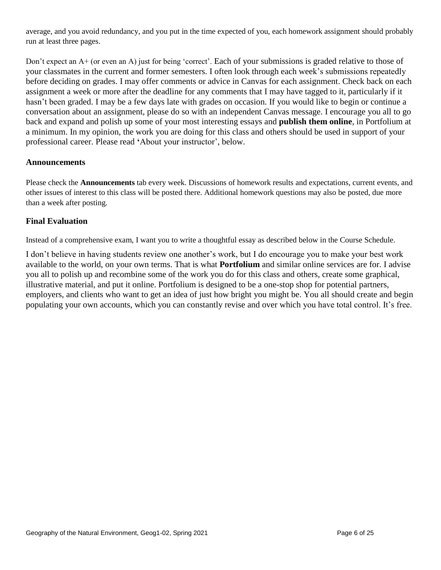average, and you avoid redundancy, and you put in the time expected of you, each homework assignment should probably run at least three pages.

Don't expect an A+ (or even an A) just for being 'correct'. Each of your submissions is graded relative to those of your classmates in the current and former semesters. I often look through each week's submissions repeatedly before deciding on grades. I may offer comments or advice in Canvas for each assignment. Check back on each assignment a week or more after the deadline for any comments that I may have tagged to it, particularly if it hasn't been graded. I may be a few days late with grades on occasion. If you would like to begin or continue a conversation about an assignment, please do so with an independent Canvas message. I encourage you all to go back and expand and polish up some of your most interesting essays and **publish them online**, in Portfolium at a minimum. In my opinion, the work you are doing for this class and others should be used in support of your professional career. Please read **'**About your instructor', below.

#### **Announcements**

Please check the **Announcements** tab every week. Discussions of homework results and expectations, current events, and other issues of interest to this class will be posted there. Additional homework questions may also be posted, due more than a week after posting.

#### **Final Evaluation**

Instead of a comprehensive exam, I want you to write a thoughtful essay as described below in the Course Schedule.

I don't believe in having students review one another's work, but I do encourage you to make your best work available to the world, on your own terms. That is what **Portfolium** and similar online services are for. I advise you all to polish up and recombine some of the work you do for this class and others, create some graphical, illustrative material, and put it online. Portfolium is designed to be a one-stop shop for potential partners, employers, and clients who want to get an idea of just how bright you might be. You all should create and begin populating your own accounts, which you can constantly revise and over which you have total control. It's free.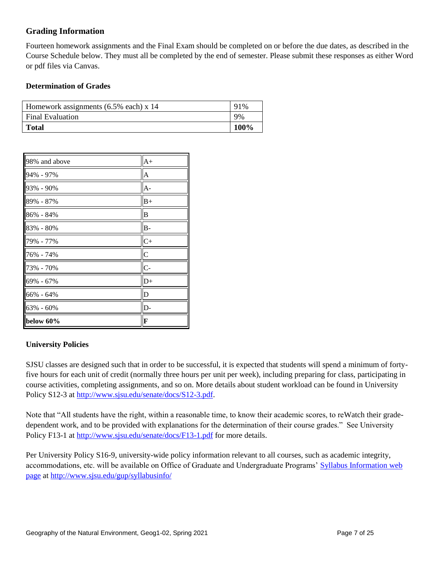## **Grading Information**

Fourteen homework assignments and the Final Exam should be completed on or before the due dates, as described in the Course Schedule below. They must all be completed by the end of semester. Please submit these responses as either Word or pdf files via Canvas.

#### **Determination of Grades**

| Homework assignments $(6.5\%$ each) x 14 |      |
|------------------------------------------|------|
| <b>Final Evaluation</b>                  | 9%   |
| <b>Total</b>                             | 100% |

| 98% and above | $A+$           |
|---------------|----------------|
| 94% - 97%     | A              |
| 93% - 90%     | A-             |
| 89% - 87%     | $B+$           |
| 86% - 84%     | B              |
| 83% - 80%     | $B -$          |
| 79% - 77%     | $C+$           |
| 76% - 74%     | $\overline{C}$ |
| 73% - 70%     | $\overline{C}$ |
| 69% - 67%     | $D+$           |
| 66% - 64%     | D              |
| 63% - 60%     | D-             |
| below 60%     | F              |

#### **University Policies**

SJSU classes are designed such that in order to be successful, it is expected that students will spend a minimum of fortyfive hours for each unit of credit (normally three hours per unit per week), including preparing for class, participating in course activities, completing assignments, and so on. More details about student workload can be found in University Policy S12-3 at [http://www.sjsu.edu/senate/docs/S12-3.pdf.](http://www.sjsu.edu/senate/docs/S12-3.pdf)

Note that "All students have the right, within a reasonable time, to know their academic scores, to reWatch their gradedependent work, and to be provided with explanations for the determination of their course grades." See University Policy F13-1 at<http://www.sjsu.edu/senate/docs/F13-1.pdf> for more details.

Per University Policy S16-9, university-wide policy information relevant to all courses, such as academic integrity, accommodations, etc. will be available on Office of Graduate and Undergraduate Programs' [Syllabus Information web](http://www.sjsu.edu/gup/syllabusinfo/)  [page](http://www.sjsu.edu/gup/syllabusinfo/) at<http://www.sjsu.edu/gup/syllabusinfo/>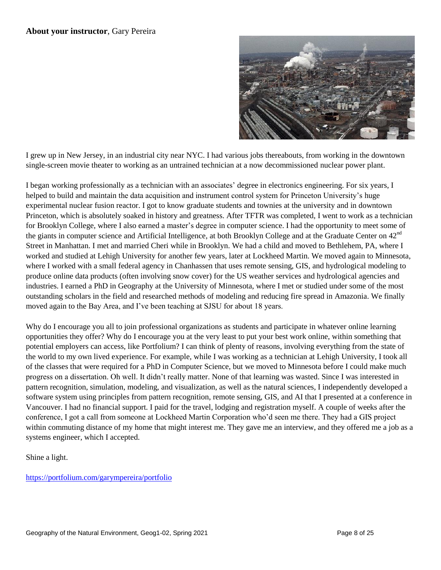#### **About your instructor**, Gary Pereira



I grew up in New Jersey, in an industrial city near NYC. I had various jobs thereabouts, from working in the downtown single-screen movie theater to working as an untrained technician at a now decommissioned nuclear power plant.

I began working professionally as a technician with an associates' degree in electronics engineering. For six years, I helped to build and maintain the data acquisition and instrument control system for Princeton University's huge experimental nuclear fusion reactor. I got to know graduate students and townies at the university and in downtown Princeton, which is absolutely soaked in history and greatness. After TFTR was completed, I went to work as a technician for Brooklyn College, where I also earned a master's degree in computer science. I had the opportunity to meet some of the giants in computer science and Artificial Intelligence, at both Brooklyn College and at the Graduate Center on 42<sup>nd</sup> Street in Manhattan. I met and married Cheri while in Brooklyn. We had a child and moved to Bethlehem, PA, where I worked and studied at Lehigh University for another few years, later at Lockheed Martin. We moved again to Minnesota, where I worked with a small federal agency in Chanhassen that uses remote sensing, GIS, and hydrological modeling to produce online data products (often involving snow cover) for the US weather services and hydrological agencies and industries. I earned a PhD in Geography at the University of Minnesota, where I met or studied under some of the most outstanding scholars in the field and researched methods of modeling and reducing fire spread in Amazonia. We finally moved again to the Bay Area, and I've been teaching at SJSU for about 18 years.

Why do I encourage you all to join professional organizations as students and participate in whatever online learning opportunities they offer? Why do I encourage you at the very least to put your best work online, within something that potential employers can access, like Portfolium? I can think of plenty of reasons, involving everything from the state of the world to my own lived experience. For example, while I was working as a technician at Lehigh University, I took all of the classes that were required for a PhD in Computer Science, but we moved to Minnesota before I could make much progress on a dissertation. Oh well. It didn't really matter. None of that learning was wasted. Since I was interested in pattern recognition, simulation, modeling, and visualization, as well as the natural sciences, I independently developed a software system using principles from pattern recognition, remote sensing, GIS, and AI that I presented at a conference in Vancouver. I had no financial support. I paid for the travel, lodging and registration myself. A couple of weeks after the conference, I got a call from someone at Lockheed Martin Corporation who'd seen me there. They had a GIS project within commuting distance of my home that might interest me. They gave me an interview, and they offered me a job as a systems engineer, which I accepted.

Shine a light.

<https://portfolium.com/garympereira/portfolio>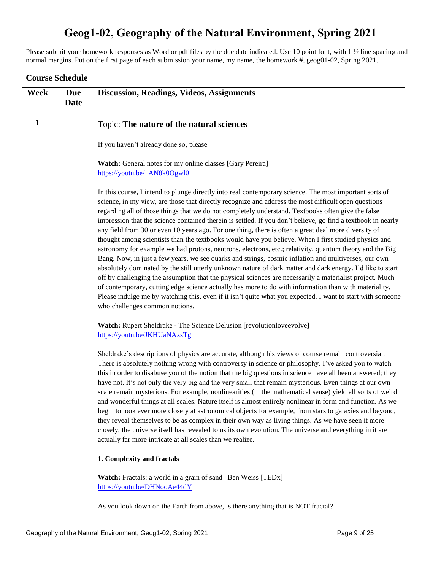# **Geog1-02, Geography of the Natural Environment, Spring 2021**

Please submit your homework responses as Word or pdf files by the due date indicated. Use 10 point font, with 1 ½ line spacing and normal margins. Put on the first page of each submission your name, my name, the homework #, geog01-02, Spring 2021.

#### **Course Schedule**

| Week | <b>Due</b><br><b>Date</b> | <b>Discussion, Readings, Videos, Assignments</b>                                                                                                                                                                                                                                                                                                                                                                                                                                                                                                                                                                                                                                                                                                                                                                                                                                                                                                                                                                                                                                                                                                                                                                                                                                                                                                            |
|------|---------------------------|-------------------------------------------------------------------------------------------------------------------------------------------------------------------------------------------------------------------------------------------------------------------------------------------------------------------------------------------------------------------------------------------------------------------------------------------------------------------------------------------------------------------------------------------------------------------------------------------------------------------------------------------------------------------------------------------------------------------------------------------------------------------------------------------------------------------------------------------------------------------------------------------------------------------------------------------------------------------------------------------------------------------------------------------------------------------------------------------------------------------------------------------------------------------------------------------------------------------------------------------------------------------------------------------------------------------------------------------------------------|
| 1    |                           | Topic: The nature of the natural sciences                                                                                                                                                                                                                                                                                                                                                                                                                                                                                                                                                                                                                                                                                                                                                                                                                                                                                                                                                                                                                                                                                                                                                                                                                                                                                                                   |
|      |                           |                                                                                                                                                                                                                                                                                                                                                                                                                                                                                                                                                                                                                                                                                                                                                                                                                                                                                                                                                                                                                                                                                                                                                                                                                                                                                                                                                             |
|      |                           | If you haven't already done so, please                                                                                                                                                                                                                                                                                                                                                                                                                                                                                                                                                                                                                                                                                                                                                                                                                                                                                                                                                                                                                                                                                                                                                                                                                                                                                                                      |
|      |                           | Watch: General notes for my online classes [Gary Pereira]                                                                                                                                                                                                                                                                                                                                                                                                                                                                                                                                                                                                                                                                                                                                                                                                                                                                                                                                                                                                                                                                                                                                                                                                                                                                                                   |
|      |                           | https://youtu.be/ AN8k0Ogwl0                                                                                                                                                                                                                                                                                                                                                                                                                                                                                                                                                                                                                                                                                                                                                                                                                                                                                                                                                                                                                                                                                                                                                                                                                                                                                                                                |
|      |                           | In this course, I intend to plunge directly into real contemporary science. The most important sorts of<br>science, in my view, are those that directly recognize and address the most difficult open questions<br>regarding all of those things that we do not completely understand. Textbooks often give the false<br>impression that the science contained therein is settled. If you don't believe, go find a textbook in nearly<br>any field from 30 or even 10 years ago. For one thing, there is often a great deal more diversity of<br>thought among scientists than the textbooks would have you believe. When I first studied physics and<br>astronomy for example we had protons, neutrons, electrons, etc.; relativity, quantum theory and the Big<br>Bang. Now, in just a few years, we see quarks and strings, cosmic inflation and multiverses, our own<br>absolutely dominated by the still utterly unknown nature of dark matter and dark energy. I'd like to start<br>off by challenging the assumption that the physical sciences are necessarily a materialist project. Much<br>of contemporary, cutting edge science actually has more to do with information than with materiality.<br>Please indulge me by watching this, even if it isn't quite what you expected. I want to start with someone<br>who challenges common notions. |
|      |                           | Watch: Rupert Sheldrake - The Science Delusion [revolutionloveevolve]<br>https://youtu.be/JKHUaNAxsTg                                                                                                                                                                                                                                                                                                                                                                                                                                                                                                                                                                                                                                                                                                                                                                                                                                                                                                                                                                                                                                                                                                                                                                                                                                                       |
|      |                           | Sheldrake's descriptions of physics are accurate, although his views of course remain controversial.<br>There is absolutely nothing wrong with controversy in science or philosophy. I've asked you to watch<br>this in order to disabuse you of the notion that the big questions in science have all been answered; they<br>have not. It's not only the very big and the very small that remain mysterious. Even things at our own<br>scale remain mysterious. For example, nonlinearities (in the mathematical sense) yield all sorts of weird<br>and wonderful things at all scales. Nature itself is almost entirely nonlinear in form and function. As we<br>begin to look ever more closely at astronomical objects for example, from stars to galaxies and beyond,<br>they reveal themselves to be as complex in their own way as living things. As we have seen it more<br>closely, the universe itself has revealed to us its own evolution. The universe and everything in it are<br>actually far more intricate at all scales than we realize.                                                                                                                                                                                                                                                                                                  |
|      |                           | 1. Complexity and fractals                                                                                                                                                                                                                                                                                                                                                                                                                                                                                                                                                                                                                                                                                                                                                                                                                                                                                                                                                                                                                                                                                                                                                                                                                                                                                                                                  |
|      |                           | Watch: Fractals: a world in a grain of sand   Ben Weiss [TEDx]<br>https://youtu.be/DHNooAe44dY                                                                                                                                                                                                                                                                                                                                                                                                                                                                                                                                                                                                                                                                                                                                                                                                                                                                                                                                                                                                                                                                                                                                                                                                                                                              |
|      |                           | As you look down on the Earth from above, is there anything that is NOT fractal?                                                                                                                                                                                                                                                                                                                                                                                                                                                                                                                                                                                                                                                                                                                                                                                                                                                                                                                                                                                                                                                                                                                                                                                                                                                                            |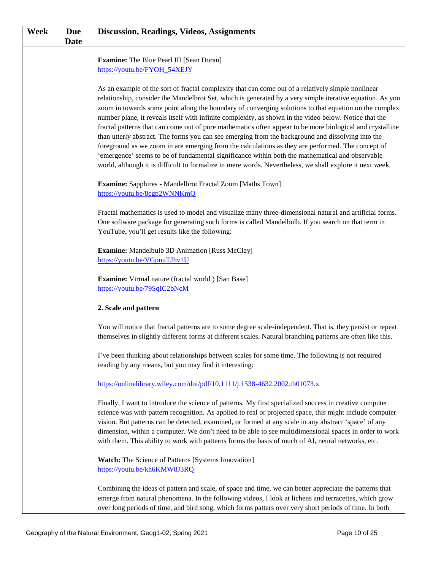| Week | <b>Due</b><br><b>Date</b> | <b>Discussion, Readings, Videos, Assignments</b>                                                                                                                                                                                                                                                                                                                                                                                                                                                                                                                                                                                                                                                                                                                                                                                                                                                                                                                         |
|------|---------------------------|--------------------------------------------------------------------------------------------------------------------------------------------------------------------------------------------------------------------------------------------------------------------------------------------------------------------------------------------------------------------------------------------------------------------------------------------------------------------------------------------------------------------------------------------------------------------------------------------------------------------------------------------------------------------------------------------------------------------------------------------------------------------------------------------------------------------------------------------------------------------------------------------------------------------------------------------------------------------------|
|      |                           | <b>Examine:</b> The Blue Pearl III [Sean Doran]<br>https://youtu.be/FYOH_54XEJY                                                                                                                                                                                                                                                                                                                                                                                                                                                                                                                                                                                                                                                                                                                                                                                                                                                                                          |
|      |                           | As an example of the sort of fractal complexity that can come out of a relatively simple nonlinear<br>relationship, consider the Mandelbrot Set, which is generated by a very simple iterative equation. As you<br>zoom in towards some point along the boundary of converging solutions to that equation on the complex<br>number plane, it reveals itself with infinite complexity, as shown in the video below. Notice that the<br>fractal patterns that can come out of pure mathematics often appear to be more biological and crystalline<br>than utterly abstract. The forms you can see emerging from the background and dissolving into the<br>foreground as we zoom in are emerging from the calculations as they are performed. The concept of<br>'emergence' seems to be of fundamental significance within both the mathematical and observable<br>world, although it is difficult to formalize in mere words. Nevertheless, we shall explore it next week. |
|      |                           | Examine: Sapphires - Mandelbrot Fractal Zoom [Maths Town]<br>https://youtu.be/8cgp2WNNKmQ                                                                                                                                                                                                                                                                                                                                                                                                                                                                                                                                                                                                                                                                                                                                                                                                                                                                                |
|      |                           | Fractal mathematics is used to model and visualize many three-dimensional natural and artificial forms.<br>One software package for generating such forms is called Mandelbulb. If you search on that term in<br>YouTube, you'll get results like the following:                                                                                                                                                                                                                                                                                                                                                                                                                                                                                                                                                                                                                                                                                                         |
|      |                           | <b>Examine:</b> Mandelbulb 3D Animation [Russ McClay]<br>https://youtu.be/VGpnuTJhv1U                                                                                                                                                                                                                                                                                                                                                                                                                                                                                                                                                                                                                                                                                                                                                                                                                                                                                    |
|      |                           | Examine: Virtual nature (fractal world) [San Base]<br>https://youtu.be/79SqIC2bNcM                                                                                                                                                                                                                                                                                                                                                                                                                                                                                                                                                                                                                                                                                                                                                                                                                                                                                       |
|      |                           | 2. Scale and pattern                                                                                                                                                                                                                                                                                                                                                                                                                                                                                                                                                                                                                                                                                                                                                                                                                                                                                                                                                     |
|      |                           | You will notice that fractal patterns are to some degree scale-independent. That is, they persist or repeat<br>themselves in slightly different forms at different scales. Natural branching patterns are often like this.                                                                                                                                                                                                                                                                                                                                                                                                                                                                                                                                                                                                                                                                                                                                               |
|      |                           | I've been thinking about relationships between scales for some time. The following is not required<br>reading by any means, but you may find it interesting:                                                                                                                                                                                                                                                                                                                                                                                                                                                                                                                                                                                                                                                                                                                                                                                                             |
|      |                           | https://onlinelibrary.wiley.com/doi/pdf/10.1111/j.1538-4632.2002.tb01073.x                                                                                                                                                                                                                                                                                                                                                                                                                                                                                                                                                                                                                                                                                                                                                                                                                                                                                               |
|      |                           | Finally, I want to introduce the science of patterns. My first specialized success in creative computer<br>science was with pattern recognition. As applied to real or projected space, this might include computer<br>vision. But patterns can be detected, examined, or formed at any scale in any abstract 'space' of any<br>dimension, within a computer. We don't need to be able to see multidimensional spaces in order to work<br>with them. This ability to work with patterns forms the basis of much of AI, neural networks, etc.                                                                                                                                                                                                                                                                                                                                                                                                                             |
|      |                           | Watch: The Science of Patterns [Systems Innovation]<br>https://youtu.be/kh6KMW8J3RQ                                                                                                                                                                                                                                                                                                                                                                                                                                                                                                                                                                                                                                                                                                                                                                                                                                                                                      |
|      |                           | Combining the ideas of pattern and scale, of space and time, we can better appreciate the patterns that<br>emerge from natural phenomena. In the following videos, I look at lichens and terracettes, which grow<br>over long periods of time, and bird song, which forms patters over very short periods of time. In both                                                                                                                                                                                                                                                                                                                                                                                                                                                                                                                                                                                                                                               |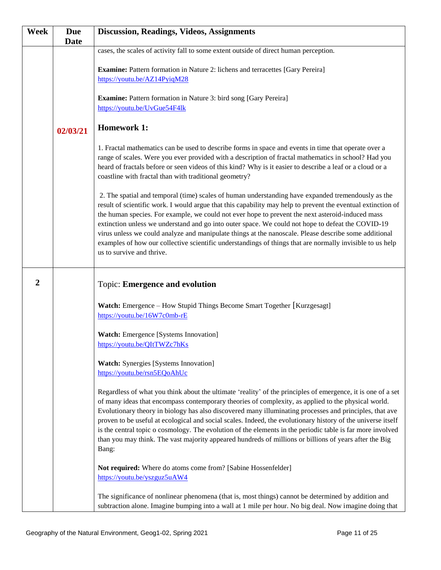| <b>Week</b>    | <b>Due</b><br><b>Date</b> | <b>Discussion, Readings, Videos, Assignments</b>                                                                                                                                                                                                                                                                                                                                                                                                                                                                                                                                                                                                                                |
|----------------|---------------------------|---------------------------------------------------------------------------------------------------------------------------------------------------------------------------------------------------------------------------------------------------------------------------------------------------------------------------------------------------------------------------------------------------------------------------------------------------------------------------------------------------------------------------------------------------------------------------------------------------------------------------------------------------------------------------------|
|                |                           | cases, the scales of activity fall to some extent outside of direct human perception.                                                                                                                                                                                                                                                                                                                                                                                                                                                                                                                                                                                           |
|                |                           | <b>Examine:</b> Pattern formation in Nature 2: lichens and terracettes [Gary Pereira]<br>https://youtu.be/AZ14PyiqM28                                                                                                                                                                                                                                                                                                                                                                                                                                                                                                                                                           |
|                |                           | <b>Examine:</b> Pattern formation in Nature 3: bird song [Gary Pereira]<br>https://youtu.be/UvGue54F4lk                                                                                                                                                                                                                                                                                                                                                                                                                                                                                                                                                                         |
|                | 02/03/21                  | <b>Homework 1:</b>                                                                                                                                                                                                                                                                                                                                                                                                                                                                                                                                                                                                                                                              |
|                |                           | 1. Fractal mathematics can be used to describe forms in space and events in time that operate over a<br>range of scales. Were you ever provided with a description of fractal mathematics in school? Had you<br>heard of fractals before or seen videos of this kind? Why is it easier to describe a leaf or a cloud or a<br>coastline with fractal than with traditional geometry?                                                                                                                                                                                                                                                                                             |
|                |                           | 2. The spatial and temporal (time) scales of human understanding have expanded tremendously as the<br>result of scientific work. I would argue that this capability may help to prevent the eventual extinction of<br>the human species. For example, we could not ever hope to prevent the next asteroid-induced mass<br>extinction unless we understand and go into outer space. We could not hope to defeat the COVID-19<br>virus unless we could analyze and manipulate things at the nanoscale. Please describe some additional<br>examples of how our collective scientific understandings of things that are normally invisible to us help<br>us to survive and thrive.  |
| $\overline{2}$ |                           | <b>Topic: Emergence and evolution</b>                                                                                                                                                                                                                                                                                                                                                                                                                                                                                                                                                                                                                                           |
|                |                           | Watch: Emergence – How Stupid Things Become Smart Together [Kurzgesagt]<br>https://youtu.be/16W7c0mb-rE                                                                                                                                                                                                                                                                                                                                                                                                                                                                                                                                                                         |
|                |                           | Watch: Emergence [Systems Innovation]<br>https://youtu.be/QItTWZc7hKs                                                                                                                                                                                                                                                                                                                                                                                                                                                                                                                                                                                                           |
|                |                           | <b>Watch:</b> Synergies [Systems Innovation]<br>https://youtu.be/rsn5EQoAhUc                                                                                                                                                                                                                                                                                                                                                                                                                                                                                                                                                                                                    |
|                |                           | Regardless of what you think about the ultimate 'reality' of the principles of emergence, it is one of a set<br>of many ideas that encompass contemporary theories of complexity, as applied to the physical world.<br>Evolutionary theory in biology has also discovered many illuminating processes and principles, that ave<br>proven to be useful at ecological and social scales. Indeed, the evolutionary history of the universe itself<br>is the central topic o cosmology. The evolution of the elements in the periodic table is far more involved<br>than you may think. The vast majority appeared hundreds of millions or billions of years after the Big<br>Bang: |
|                |                           | Not required: Where do atoms come from? [Sabine Hossenfelder]<br>https://youtu.be/yszguz5uAW4                                                                                                                                                                                                                                                                                                                                                                                                                                                                                                                                                                                   |
|                |                           | The significance of nonlinear phenomena (that is, most things) cannot be determined by addition and<br>subtraction alone. Imagine bumping into a wall at 1 mile per hour. No big deal. Now imagine doing that                                                                                                                                                                                                                                                                                                                                                                                                                                                                   |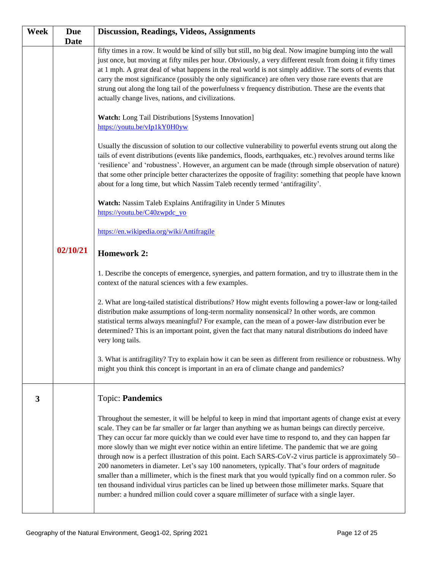| Week | <b>Due</b><br><b>Date</b> | <b>Discussion, Readings, Videos, Assignments</b>                                                                                                                                                                                                                                                                                                                                                                                                                                                                                                                                                                                                                                                                                                                                                                                                                                                                                                            |
|------|---------------------------|-------------------------------------------------------------------------------------------------------------------------------------------------------------------------------------------------------------------------------------------------------------------------------------------------------------------------------------------------------------------------------------------------------------------------------------------------------------------------------------------------------------------------------------------------------------------------------------------------------------------------------------------------------------------------------------------------------------------------------------------------------------------------------------------------------------------------------------------------------------------------------------------------------------------------------------------------------------|
|      |                           | fifty times in a row. It would be kind of silly but still, no big deal. Now imagine bumping into the wall<br>just once, but moving at fifty miles per hour. Obviously, a very different result from doing it fifty times<br>at 1 mph. A great deal of what happens in the real world is not simply additive. The sorts of events that<br>carry the most significance (possibly the only significance) are often very those rare events that are<br>strung out along the long tail of the powerfulness v frequency distribution. These are the events that<br>actually change lives, nations, and civilizations.                                                                                                                                                                                                                                                                                                                                             |
|      |                           | Watch: Long Tail Distributions [Systems Innovation]<br>https://youtu.be/vIp1kY0H0yw                                                                                                                                                                                                                                                                                                                                                                                                                                                                                                                                                                                                                                                                                                                                                                                                                                                                         |
|      |                           | Usually the discussion of solution to our collective vulnerability to powerful events strung out along the<br>tails of event distributions (events like pandemics, floods, earthquakes, etc.) revolves around terms like<br>'resilience' and 'robustness'. However, an argument can be made (through simple observation of nature)<br>that some other principle better characterizes the opposite of fragility: something that people have known<br>about for a long time, but which Nassim Taleb recently termed 'antifragility'.                                                                                                                                                                                                                                                                                                                                                                                                                          |
|      |                           | Watch: Nassim Taleb Explains Antifragility in Under 5 Minutes<br>https://youtu.be/C40zwpdc_yo                                                                                                                                                                                                                                                                                                                                                                                                                                                                                                                                                                                                                                                                                                                                                                                                                                                               |
|      |                           | https://en.wikipedia.org/wiki/Antifragile                                                                                                                                                                                                                                                                                                                                                                                                                                                                                                                                                                                                                                                                                                                                                                                                                                                                                                                   |
|      | 02/10/21                  | <b>Homework 2:</b>                                                                                                                                                                                                                                                                                                                                                                                                                                                                                                                                                                                                                                                                                                                                                                                                                                                                                                                                          |
|      |                           | 1. Describe the concepts of emergence, synergies, and pattern formation, and try to illustrate them in the<br>context of the natural sciences with a few examples.                                                                                                                                                                                                                                                                                                                                                                                                                                                                                                                                                                                                                                                                                                                                                                                          |
|      |                           | 2. What are long-tailed statistical distributions? How might events following a power-law or long-tailed<br>distribution make assumptions of long-term normality nonsensical? In other words, are common<br>statistical terms always meaningful? For example, can the mean of a power-law distribution ever be<br>determined? This is an important point, given the fact that many natural distributions do indeed have<br>very long tails.                                                                                                                                                                                                                                                                                                                                                                                                                                                                                                                 |
|      |                           | 3. What is antifragility? Try to explain how it can be seen as different from resilience or robustness. Why<br>might you think this concept is important in an era of climate change and pandemics?                                                                                                                                                                                                                                                                                                                                                                                                                                                                                                                                                                                                                                                                                                                                                         |
| 3    |                           | <b>Topic: Pandemics</b>                                                                                                                                                                                                                                                                                                                                                                                                                                                                                                                                                                                                                                                                                                                                                                                                                                                                                                                                     |
|      |                           | Throughout the semester, it will be helpful to keep in mind that important agents of change exist at every<br>scale. They can be far smaller or far larger than anything we as human beings can directly perceive.<br>They can occur far more quickly than we could ever have time to respond to, and they can happen far<br>more slowly than we might ever notice within an entire lifetime. The pandemic that we are going<br>through now is a perfect illustration of this point. Each SARS-CoV-2 virus particle is approximately 50–<br>200 nanometers in diameter. Let's say 100 nanometers, typically. That's four orders of magnitude<br>smaller than a millimeter, which is the finest mark that you would typically find on a common ruler. So<br>ten thousand individual virus particles can be lined up between those millimeter marks. Square that<br>number: a hundred million could cover a square millimeter of surface with a single layer. |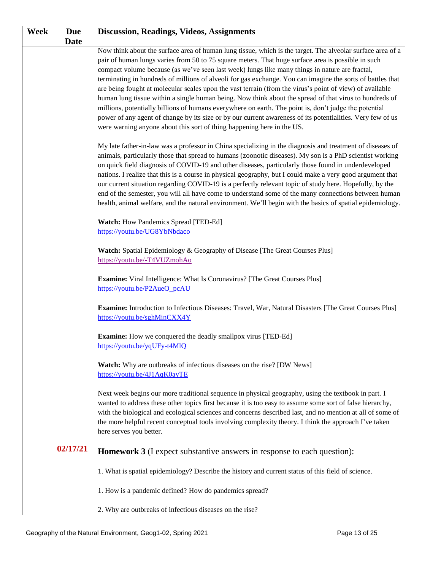| Week | <b>Due</b>  | <b>Discussion, Readings, Videos, Assignments</b>                                                                                                                                                                                                                                                                                                                                                                                                                                                                                                                                                                                                                                                                                                                                                                                                                                                                                                        |
|------|-------------|---------------------------------------------------------------------------------------------------------------------------------------------------------------------------------------------------------------------------------------------------------------------------------------------------------------------------------------------------------------------------------------------------------------------------------------------------------------------------------------------------------------------------------------------------------------------------------------------------------------------------------------------------------------------------------------------------------------------------------------------------------------------------------------------------------------------------------------------------------------------------------------------------------------------------------------------------------|
|      | <b>Date</b> |                                                                                                                                                                                                                                                                                                                                                                                                                                                                                                                                                                                                                                                                                                                                                                                                                                                                                                                                                         |
|      |             | Now think about the surface area of human lung tissue, which is the target. The alveolar surface area of a<br>pair of human lungs varies from 50 to 75 square meters. That huge surface area is possible in such<br>compact volume because (as we've seen last week) lungs like many things in nature are fractal,<br>terminating in hundreds of millions of alveoli for gas exchange. You can imagine the sorts of battles that<br>are being fought at molecular scales upon the vast terrain (from the virus's point of view) of available<br>human lung tissue within a single human being. Now think about the spread of that virus to hundreds of<br>millions, potentially billions of humans everywhere on earth. The point is, don't judge the potential<br>power of any agent of change by its size or by our current awareness of its potentialities. Very few of us<br>were warning anyone about this sort of thing happening here in the US. |
|      |             | My late father-in-law was a professor in China specializing in the diagnosis and treatment of diseases of<br>animals, particularly those that spread to humans (zoonotic diseases). My son is a PhD scientist working<br>on quick field diagnosis of COVID-19 and other diseases, particularly those found in underdeveloped<br>nations. I realize that this is a course in physical geography, but I could make a very good argument that<br>our current situation regarding COVID-19 is a perfectly relevant topic of study here. Hopefully, by the<br>end of the semester, you will all have come to understand some of the many connections between human<br>health, animal welfare, and the natural environment. We'll begin with the basics of spatial epidemiology.                                                                                                                                                                              |
|      |             | Watch: How Pandemics Spread [TED-Ed]<br>https://youtu.be/UG8YbNbdaco                                                                                                                                                                                                                                                                                                                                                                                                                                                                                                                                                                                                                                                                                                                                                                                                                                                                                    |
|      |             | <b>Watch:</b> Spatial Epidemiology & Geography of Disease [The Great Courses Plus]<br>https://youtu.be/-T4VUZmohAo                                                                                                                                                                                                                                                                                                                                                                                                                                                                                                                                                                                                                                                                                                                                                                                                                                      |
|      |             | <b>Examine:</b> Viral Intelligence: What Is Coronavirus? [The Great Courses Plus]<br>https://youtu.be/P2AueO_pcAU                                                                                                                                                                                                                                                                                                                                                                                                                                                                                                                                                                                                                                                                                                                                                                                                                                       |
|      |             | <b>Examine:</b> Introduction to Infectious Diseases: Travel, War, Natural Disasters [The Great Courses Plus]<br>https://youtu.be/sghMinCXX4Y                                                                                                                                                                                                                                                                                                                                                                                                                                                                                                                                                                                                                                                                                                                                                                                                            |
|      |             | <b>Examine:</b> How we conquered the deadly smallpox virus [TED-Ed]<br>https://youtu.be/yqUFy-t4M1Q                                                                                                                                                                                                                                                                                                                                                                                                                                                                                                                                                                                                                                                                                                                                                                                                                                                     |
|      |             | Watch: Why are outbreaks of infectious diseases on the rise? [DW News]<br>https://youtu.be/4J1AqK0ayTE                                                                                                                                                                                                                                                                                                                                                                                                                                                                                                                                                                                                                                                                                                                                                                                                                                                  |
|      |             | Next week begins our more traditional sequence in physical geography, using the textbook in part. I<br>wanted to address these other topics first because it is too easy to assume some sort of false hierarchy,<br>with the biological and ecological sciences and concerns described last, and no mention at all of some of<br>the more helpful recent conceptual tools involving complexity theory. I think the approach I've taken<br>here serves you better.                                                                                                                                                                                                                                                                                                                                                                                                                                                                                       |
|      | 02/17/21    | <b>Homework 3</b> (I expect substantive answers in response to each question):                                                                                                                                                                                                                                                                                                                                                                                                                                                                                                                                                                                                                                                                                                                                                                                                                                                                          |
|      |             | 1. What is spatial epidemiology? Describe the history and current status of this field of science.                                                                                                                                                                                                                                                                                                                                                                                                                                                                                                                                                                                                                                                                                                                                                                                                                                                      |
|      |             | 1. How is a pandemic defined? How do pandemics spread?                                                                                                                                                                                                                                                                                                                                                                                                                                                                                                                                                                                                                                                                                                                                                                                                                                                                                                  |
|      |             | 2. Why are outbreaks of infectious diseases on the rise?                                                                                                                                                                                                                                                                                                                                                                                                                                                                                                                                                                                                                                                                                                                                                                                                                                                                                                |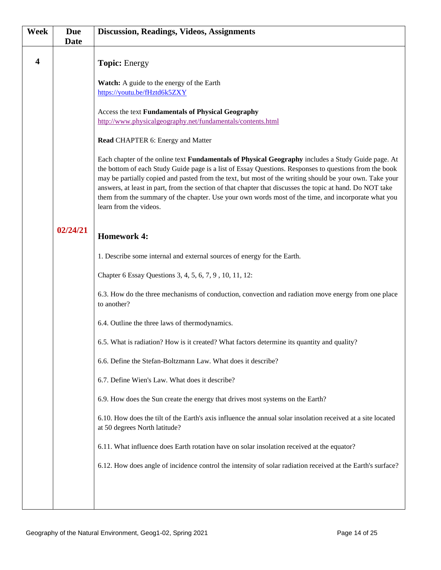| <b>Week</b> | <b>Due</b><br><b>Date</b> | <b>Discussion, Readings, Videos, Assignments</b>                                                                                                                                                                                                                                                                                                                                                                                                                                                                                                                             |
|-------------|---------------------------|------------------------------------------------------------------------------------------------------------------------------------------------------------------------------------------------------------------------------------------------------------------------------------------------------------------------------------------------------------------------------------------------------------------------------------------------------------------------------------------------------------------------------------------------------------------------------|
| 4           |                           | <b>Topic:</b> Energy                                                                                                                                                                                                                                                                                                                                                                                                                                                                                                                                                         |
|             |                           | Watch: A guide to the energy of the Earth<br>https://youtu.be/fHztd6k5ZXY<br>Access the text Fundamentals of Physical Geography<br>http://www.physicalgeography.net/fundamentals/contents.html<br>Read CHAPTER 6: Energy and Matter                                                                                                                                                                                                                                                                                                                                          |
|             |                           | Each chapter of the online text <b>Fundamentals of Physical Geography</b> includes a Study Guide page. At<br>the bottom of each Study Guide page is a list of Essay Questions. Responses to questions from the book<br>may be partially copied and pasted from the text, but most of the writing should be your own. Take your<br>answers, at least in part, from the section of that chapter that discusses the topic at hand. Do NOT take<br>them from the summary of the chapter. Use your own words most of the time, and incorporate what you<br>learn from the videos. |
|             | 02/24/21                  | <b>Homework 4:</b>                                                                                                                                                                                                                                                                                                                                                                                                                                                                                                                                                           |
|             |                           | 1. Describe some internal and external sources of energy for the Earth.                                                                                                                                                                                                                                                                                                                                                                                                                                                                                                      |
|             |                           | Chapter 6 Essay Questions 3, 4, 5, 6, 7, 9, 10, 11, 12:                                                                                                                                                                                                                                                                                                                                                                                                                                                                                                                      |
|             |                           | 6.3. How do the three mechanisms of conduction, convection and radiation move energy from one place<br>to another?                                                                                                                                                                                                                                                                                                                                                                                                                                                           |
|             |                           | 6.4. Outline the three laws of thermodynamics.                                                                                                                                                                                                                                                                                                                                                                                                                                                                                                                               |
|             |                           | 6.5. What is radiation? How is it created? What factors determine its quantity and quality?                                                                                                                                                                                                                                                                                                                                                                                                                                                                                  |
|             |                           | 6.6. Define the Stefan-Boltzmann Law. What does it describe?                                                                                                                                                                                                                                                                                                                                                                                                                                                                                                                 |
|             |                           | 6.7. Define Wien's Law. What does it describe?                                                                                                                                                                                                                                                                                                                                                                                                                                                                                                                               |
|             |                           | 6.9. How does the Sun create the energy that drives most systems on the Earth?                                                                                                                                                                                                                                                                                                                                                                                                                                                                                               |
|             |                           | 6.10. How does the tilt of the Earth's axis influence the annual solar insolation received at a site located<br>at 50 degrees North latitude?                                                                                                                                                                                                                                                                                                                                                                                                                                |
|             |                           | 6.11. What influence does Earth rotation have on solar insolation received at the equator?                                                                                                                                                                                                                                                                                                                                                                                                                                                                                   |
|             |                           | 6.12. How does angle of incidence control the intensity of solar radiation received at the Earth's surface?                                                                                                                                                                                                                                                                                                                                                                                                                                                                  |
|             |                           |                                                                                                                                                                                                                                                                                                                                                                                                                                                                                                                                                                              |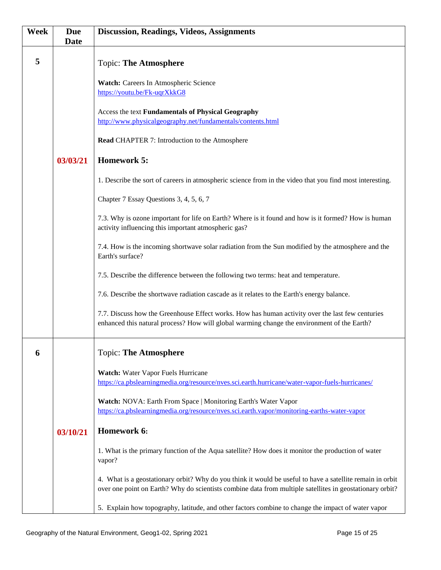| <b>Week</b> | <b>Due</b><br><b>Date</b> | <b>Discussion, Readings, Videos, Assignments</b>                                                                                                                                                                      |
|-------------|---------------------------|-----------------------------------------------------------------------------------------------------------------------------------------------------------------------------------------------------------------------|
| 5           |                           | <b>Topic: The Atmosphere</b>                                                                                                                                                                                          |
|             |                           | Watch: Careers In Atmospheric Science                                                                                                                                                                                 |
|             |                           | https://youtu.be/Fk-uqrXkkG8                                                                                                                                                                                          |
|             |                           | Access the text Fundamentals of Physical Geography<br>http://www.physicalgeography.net/fundamentals/contents.html                                                                                                     |
|             |                           | <b>Read CHAPTER 7: Introduction to the Atmosphere</b>                                                                                                                                                                 |
|             | 03/03/21                  | <b>Homework 5:</b>                                                                                                                                                                                                    |
|             |                           | 1. Describe the sort of careers in atmospheric science from in the video that you find most interesting.                                                                                                              |
|             |                           | Chapter 7 Essay Questions 3, 4, 5, 6, 7                                                                                                                                                                               |
|             |                           | 7.3. Why is ozone important for life on Earth? Where is it found and how is it formed? How is human<br>activity influencing this important atmospheric gas?                                                           |
|             |                           | 7.4. How is the incoming shortwave solar radiation from the Sun modified by the atmosphere and the<br>Earth's surface?                                                                                                |
|             |                           | 7.5. Describe the difference between the following two terms: heat and temperature.                                                                                                                                   |
|             |                           | 7.6. Describe the shortwave radiation cascade as it relates to the Earth's energy balance.                                                                                                                            |
|             |                           | 7.7. Discuss how the Greenhouse Effect works. How has human activity over the last few centuries<br>enhanced this natural process? How will global warming change the environment of the Earth?                       |
| 6           |                           | <b>Topic: The Atmosphere</b>                                                                                                                                                                                          |
|             |                           | Watch: Water Vapor Fuels Hurricane<br>https://ca.pbslearningmedia.org/resource/nves.sci.earth.hurricane/water-vapor-fuels-hurricanes/                                                                                 |
|             |                           | Watch: NOVA: Earth From Space   Monitoring Earth's Water Vapor<br>https://ca.pbslearningmedia.org/resource/nves.sci.earth.vapor/monitoring-earths-water-vapor                                                         |
|             | 03/10/21                  | Homework 6:                                                                                                                                                                                                           |
|             |                           | 1. What is the primary function of the Aqua satellite? How does it monitor the production of water<br>vapor?                                                                                                          |
|             |                           | 4. What is a geostationary orbit? Why do you think it would be useful to have a satellite remain in orbit<br>over one point on Earth? Why do scientists combine data from multiple satellites in geostationary orbit? |
|             |                           | 5. Explain how topography, latitude, and other factors combine to change the impact of water vapor                                                                                                                    |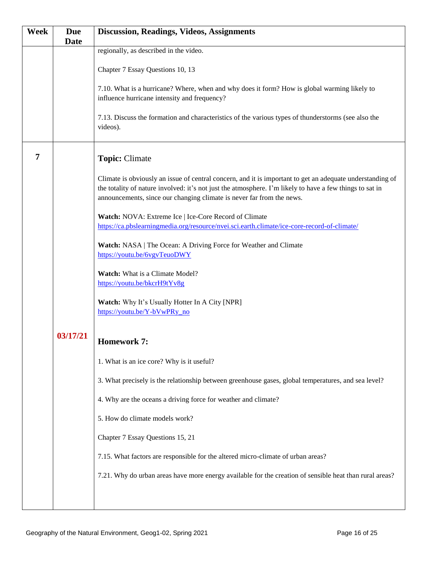| Week | <b>Due</b>  | <b>Discussion, Readings, Videos, Assignments</b>                                                                                                                                                                                                                                               |
|------|-------------|------------------------------------------------------------------------------------------------------------------------------------------------------------------------------------------------------------------------------------------------------------------------------------------------|
|      | <b>Date</b> |                                                                                                                                                                                                                                                                                                |
|      |             | regionally, as described in the video.                                                                                                                                                                                                                                                         |
|      |             | Chapter 7 Essay Questions 10, 13                                                                                                                                                                                                                                                               |
|      |             | 7.10. What is a hurricane? Where, when and why does it form? How is global warming likely to<br>influence hurricane intensity and frequency?                                                                                                                                                   |
|      |             | 7.13. Discuss the formation and characteristics of the various types of thunderstorms (see also the<br>videos).                                                                                                                                                                                |
| 7    |             | <b>Topic: Climate</b>                                                                                                                                                                                                                                                                          |
|      |             | Climate is obviously an issue of central concern, and it is important to get an adequate understanding of<br>the totality of nature involved: it's not just the atmosphere. I'm likely to have a few things to sat in<br>announcements, since our changing climate is never far from the news. |
|      |             | Watch: NOVA: Extreme Ice   Ice-Core Record of Climate                                                                                                                                                                                                                                          |
|      |             | https://ca.pbslearningmedia.org/resource/nvei.sci.earth.climate/ice-core-record-of-climate/                                                                                                                                                                                                    |
|      |             | Watch: NASA   The Ocean: A Driving Force for Weather and Climate<br>https://youtu.be/6vgvTeuoDWY                                                                                                                                                                                               |
|      |             | Watch: What is a Climate Model?<br>https://youtu.be/bkcrH9tYv8g                                                                                                                                                                                                                                |
|      |             | Watch: Why It's Usually Hotter In A City [NPR]<br>https://youtu.be/Y-bVwPRy_no                                                                                                                                                                                                                 |
|      | 03/17/21    | <b>Homework 7:</b>                                                                                                                                                                                                                                                                             |
|      |             | 1. What is an ice core? Why is it useful?                                                                                                                                                                                                                                                      |
|      |             | 3. What precisely is the relationship between greenhouse gases, global temperatures, and sea level?                                                                                                                                                                                            |
|      |             | 4. Why are the oceans a driving force for weather and climate?                                                                                                                                                                                                                                 |
|      |             | 5. How do climate models work?                                                                                                                                                                                                                                                                 |
|      |             | Chapter 7 Essay Questions 15, 21                                                                                                                                                                                                                                                               |
|      |             | 7.15. What factors are responsible for the altered micro-climate of urban areas?                                                                                                                                                                                                               |
|      |             | 7.21. Why do urban areas have more energy available for the creation of sensible heat than rural areas?                                                                                                                                                                                        |
|      |             |                                                                                                                                                                                                                                                                                                |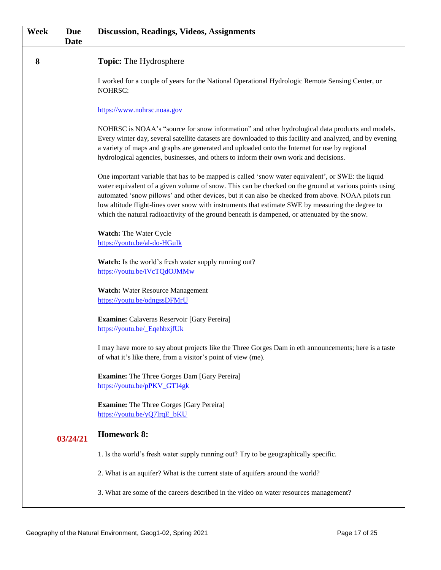| <b>Week</b> | <b>Due</b><br><b>Date</b> | <b>Discussion, Readings, Videos, Assignments</b>                                                                                                                                                                                                                                                                                                                                                                                                                                                                        |
|-------------|---------------------------|-------------------------------------------------------------------------------------------------------------------------------------------------------------------------------------------------------------------------------------------------------------------------------------------------------------------------------------------------------------------------------------------------------------------------------------------------------------------------------------------------------------------------|
| 8           |                           | Topic: The Hydrosphere                                                                                                                                                                                                                                                                                                                                                                                                                                                                                                  |
|             |                           | I worked for a couple of years for the National Operational Hydrologic Remote Sensing Center, or<br>NOHRSC:                                                                                                                                                                                                                                                                                                                                                                                                             |
|             |                           | https://www.nohrsc.noaa.gov                                                                                                                                                                                                                                                                                                                                                                                                                                                                                             |
|             |                           | NOHRSC is NOAA's "source for snow information" and other hydrological data products and models.<br>Every winter day, several satellite datasets are downloaded to this facility and analyzed, and by evening<br>a variety of maps and graphs are generated and uploaded onto the Internet for use by regional<br>hydrological agencies, businesses, and others to inform their own work and decisions.                                                                                                                  |
|             |                           | One important variable that has to be mapped is called 'snow water equivalent', or SWE: the liquid<br>water equivalent of a given volume of snow. This can be checked on the ground at various points using<br>automated 'snow pillows' and other devices, but it can also be checked from above. NOAA pilots run<br>low altitude flight-lines over snow with instruments that estimate SWE by measuring the degree to<br>which the natural radioactivity of the ground beneath is dampened, or attenuated by the snow. |
|             |                           | Watch: The Water Cycle<br>https://youtu.be/al-do-HGuIk                                                                                                                                                                                                                                                                                                                                                                                                                                                                  |
|             |                           | <b>Watch:</b> Is the world's fresh water supply running out?<br>https://youtu.be/iVcTQdOJMMw                                                                                                                                                                                                                                                                                                                                                                                                                            |
|             |                           | <b>Watch:</b> Water Resource Management<br>https://youtu.be/odngssDFMrU                                                                                                                                                                                                                                                                                                                                                                                                                                                 |
|             |                           | Examine: Calaveras Reservoir [Gary Pereira]<br>https://youtu.be/_EqehbxjfUk                                                                                                                                                                                                                                                                                                                                                                                                                                             |
|             |                           | I may have more to say about projects like the Three Gorges Dam in eth announcements; here is a taste<br>of what it's like there, from a visitor's point of view (me).                                                                                                                                                                                                                                                                                                                                                  |
|             |                           | <b>Examine:</b> The Three Gorges Dam [Gary Pereira]<br>https://youtu.be/pPKV GTI4gk                                                                                                                                                                                                                                                                                                                                                                                                                                     |
|             |                           | <b>Examine:</b> The Three Gorges [Gary Pereira]<br>https://youtu.be/yQ7lrqE bKU                                                                                                                                                                                                                                                                                                                                                                                                                                         |
|             | 03/24/21                  | <b>Homework 8:</b>                                                                                                                                                                                                                                                                                                                                                                                                                                                                                                      |
|             |                           | 1. Is the world's fresh water supply running out? Try to be geographically specific.                                                                                                                                                                                                                                                                                                                                                                                                                                    |
|             |                           | 2. What is an aquifer? What is the current state of aquifers around the world?                                                                                                                                                                                                                                                                                                                                                                                                                                          |
|             |                           | 3. What are some of the careers described in the video on water resources management?                                                                                                                                                                                                                                                                                                                                                                                                                                   |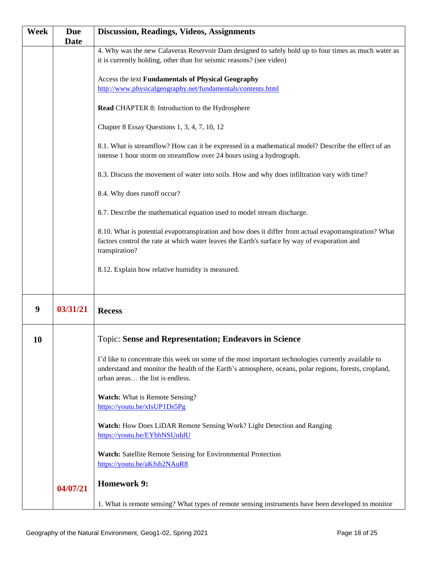| Week | <b>Due</b>  | <b>Discussion, Readings, Videos, Assignments</b>                                                                                                                                                                                                  |
|------|-------------|---------------------------------------------------------------------------------------------------------------------------------------------------------------------------------------------------------------------------------------------------|
|      | <b>Date</b> |                                                                                                                                                                                                                                                   |
|      |             | 4. Why was the new Calaveras Reservoir Dam designed to safely hold up to four times as much water as                                                                                                                                              |
|      |             | it is currently holding, other than for seismic reasons? (see video)                                                                                                                                                                              |
|      |             | Access the text Fundamentals of Physical Geography                                                                                                                                                                                                |
|      |             | http://www.physicalgeography.net/fundamentals/contents.html                                                                                                                                                                                       |
|      |             |                                                                                                                                                                                                                                                   |
|      |             | Read CHAPTER 8: Introduction to the Hydrosphere                                                                                                                                                                                                   |
|      |             | Chapter 8 Essay Questions 1, 3, 4, 7, 10, 12                                                                                                                                                                                                      |
|      |             | 8.1. What is streamflow? How can it be expressed in a mathematical model? Describe the effect of an                                                                                                                                               |
|      |             | intense 1 hour storm on streamflow over 24 hours using a hydrograph.                                                                                                                                                                              |
|      |             | 8.3. Discuss the movement of water into soils. How and why does infiltration vary with time?                                                                                                                                                      |
|      |             | 8.4. Why does runoff occur?                                                                                                                                                                                                                       |
|      |             | 8.7. Describe the mathematical equation used to model stream discharge.                                                                                                                                                                           |
|      |             | 8.10. What is potential evapotranspiration and how does it differ from actual evapotranspiration? What<br>factors control the rate at which water leaves the Earth's surface by way of evaporation and<br>transpiration?                          |
|      |             | 8.12. Explain how relative humidity is measured.                                                                                                                                                                                                  |
| 9    | 03/31/21    | <b>Recess</b>                                                                                                                                                                                                                                     |
| 10   |             | <b>Topic: Sense and Representation; Endeavors in Science</b>                                                                                                                                                                                      |
|      |             | I'd like to concentrate this week on some of the most important technologies currently available to<br>understand and monitor the health of the Earth's atmosphere, oceans, polar regions, forests, cropland,<br>urban areas the list is endless. |
|      |             | Watch: What is Remote Sensing?                                                                                                                                                                                                                    |
|      |             | https://youtu.be/xIsUP1Ds5Pg                                                                                                                                                                                                                      |
|      |             | Watch: How Does LiDAR Remote Sensing Work? Light Detection and Ranging<br>https://youtu.be/EYbhNSUnIdU                                                                                                                                            |
|      |             | Watch: Satellite Remote Sensing for Environmental Protection<br>https://youtu.be/aKfsh2NAuR8                                                                                                                                                      |
|      | 04/07/21    | <b>Homework 9:</b>                                                                                                                                                                                                                                |
|      |             | 1. What is remote sensing? What types of remote sensing instruments have been developed to monitor                                                                                                                                                |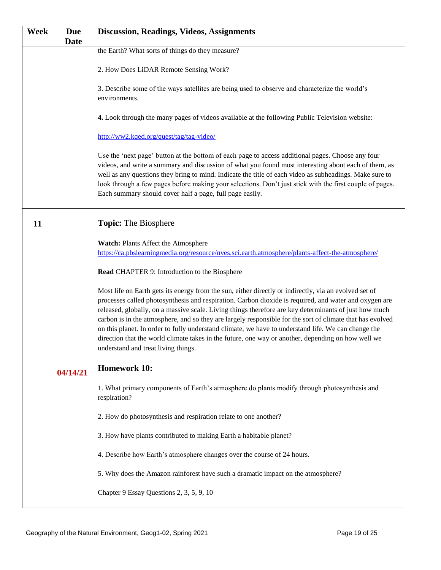| Week | <b>Due</b>  | <b>Discussion, Readings, Videos, Assignments</b>                                                                                                                                                                                                                                                                                                                                                                                                                                                                                                                                                                                                                                         |
|------|-------------|------------------------------------------------------------------------------------------------------------------------------------------------------------------------------------------------------------------------------------------------------------------------------------------------------------------------------------------------------------------------------------------------------------------------------------------------------------------------------------------------------------------------------------------------------------------------------------------------------------------------------------------------------------------------------------------|
|      | <b>Date</b> |                                                                                                                                                                                                                                                                                                                                                                                                                                                                                                                                                                                                                                                                                          |
|      |             | the Earth? What sorts of things do they measure?                                                                                                                                                                                                                                                                                                                                                                                                                                                                                                                                                                                                                                         |
|      |             | 2. How Does LiDAR Remote Sensing Work?                                                                                                                                                                                                                                                                                                                                                                                                                                                                                                                                                                                                                                                   |
|      |             | 3. Describe some of the ways satellites are being used to observe and characterize the world's<br>environments.                                                                                                                                                                                                                                                                                                                                                                                                                                                                                                                                                                          |
|      |             | 4. Look through the many pages of videos available at the following Public Television website:                                                                                                                                                                                                                                                                                                                                                                                                                                                                                                                                                                                           |
|      |             | http://ww2.kged.org/quest/tag/tag-video/                                                                                                                                                                                                                                                                                                                                                                                                                                                                                                                                                                                                                                                 |
|      |             | Use the 'next page' button at the bottom of each page to access additional pages. Choose any four<br>videos, and write a summary and discussion of what you found most interesting about each of them, as<br>well as any questions they bring to mind. Indicate the title of each video as subheadings. Make sure to<br>look through a few pages before making your selections. Don't just stick with the first couple of pages.<br>Each summary should cover half a page, full page easily.                                                                                                                                                                                             |
| 11   |             | <b>Topic:</b> The Biosphere                                                                                                                                                                                                                                                                                                                                                                                                                                                                                                                                                                                                                                                              |
|      |             | Watch: Plants Affect the Atmosphere                                                                                                                                                                                                                                                                                                                                                                                                                                                                                                                                                                                                                                                      |
|      |             | https://ca.pbslearningmedia.org/resource/nves.sci.earth.atmosphere/plants-affect-the-atmosphere/                                                                                                                                                                                                                                                                                                                                                                                                                                                                                                                                                                                         |
|      |             | Read CHAPTER 9: Introduction to the Biosphere                                                                                                                                                                                                                                                                                                                                                                                                                                                                                                                                                                                                                                            |
|      |             | Most life on Earth gets its energy from the sun, either directly or indirectly, via an evolved set of<br>processes called photosynthesis and respiration. Carbon dioxide is required, and water and oxygen are<br>released, globally, on a massive scale. Living things therefore are key determinants of just how much<br>carbon is in the atmosphere, and so they are largely responsible for the sort of climate that has evolved<br>on this planet. In order to fully understand climate, we have to understand life. We can change the<br>direction that the world climate takes in the future, one way or another, depending on how well we<br>understand and treat living things. |
|      | 04/14/21    | <b>Homework 10:</b>                                                                                                                                                                                                                                                                                                                                                                                                                                                                                                                                                                                                                                                                      |
|      |             | 1. What primary components of Earth's atmosphere do plants modify through photosynthesis and<br>respiration?                                                                                                                                                                                                                                                                                                                                                                                                                                                                                                                                                                             |
|      |             | 2. How do photosynthesis and respiration relate to one another?                                                                                                                                                                                                                                                                                                                                                                                                                                                                                                                                                                                                                          |
|      |             | 3. How have plants contributed to making Earth a habitable planet?                                                                                                                                                                                                                                                                                                                                                                                                                                                                                                                                                                                                                       |
|      |             | 4. Describe how Earth's atmosphere changes over the course of 24 hours.                                                                                                                                                                                                                                                                                                                                                                                                                                                                                                                                                                                                                  |
|      |             | 5. Why does the Amazon rainforest have such a dramatic impact on the atmosphere?                                                                                                                                                                                                                                                                                                                                                                                                                                                                                                                                                                                                         |
|      |             | Chapter 9 Essay Questions 2, 3, 5, 9, 10                                                                                                                                                                                                                                                                                                                                                                                                                                                                                                                                                                                                                                                 |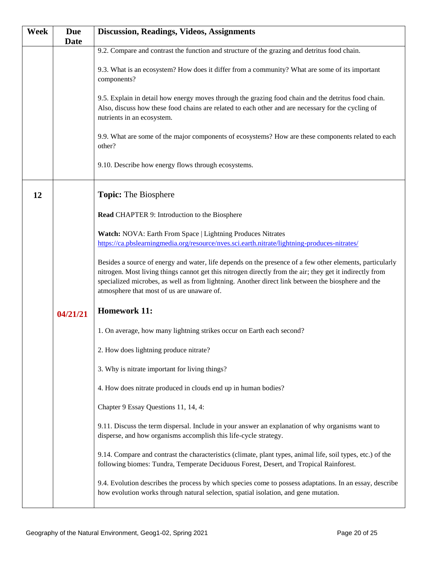| <b>Week</b> | <b>Due</b>  | <b>Discussion, Readings, Videos, Assignments</b>                                                                                                                                                                                                                                                                                                                         |
|-------------|-------------|--------------------------------------------------------------------------------------------------------------------------------------------------------------------------------------------------------------------------------------------------------------------------------------------------------------------------------------------------------------------------|
|             | <b>Date</b> |                                                                                                                                                                                                                                                                                                                                                                          |
|             |             | 9.2. Compare and contrast the function and structure of the grazing and detritus food chain.                                                                                                                                                                                                                                                                             |
|             |             | 9.3. What is an ecosystem? How does it differ from a community? What are some of its important<br>components?                                                                                                                                                                                                                                                            |
|             |             | 9.5. Explain in detail how energy moves through the grazing food chain and the detritus food chain.<br>Also, discuss how these food chains are related to each other and are necessary for the cycling of<br>nutrients in an ecosystem.                                                                                                                                  |
|             |             | 9.9. What are some of the major components of ecosystems? How are these components related to each<br>other?                                                                                                                                                                                                                                                             |
|             |             | 9.10. Describe how energy flows through ecosystems.                                                                                                                                                                                                                                                                                                                      |
| 12          |             | <b>Topic:</b> The Biosphere                                                                                                                                                                                                                                                                                                                                              |
|             |             | Read CHAPTER 9: Introduction to the Biosphere                                                                                                                                                                                                                                                                                                                            |
|             |             | Watch: NOVA: Earth From Space   Lightning Produces Nitrates<br>https://ca.pbslearningmedia.org/resource/nves.sci.earth.nitrate/lightning-produces-nitrates/                                                                                                                                                                                                              |
|             |             | Besides a source of energy and water, life depends on the presence of a few other elements, particularly<br>nitrogen. Most living things cannot get this nitrogen directly from the air; they get it indirectly from<br>specialized microbes, as well as from lightning. Another direct link between the biosphere and the<br>atmosphere that most of us are unaware of. |
|             | 04/21/21    | <b>Homework 11:</b>                                                                                                                                                                                                                                                                                                                                                      |
|             |             | 1. On average, how many lightning strikes occur on Earth each second?                                                                                                                                                                                                                                                                                                    |
|             |             | 2. How does lightning produce nitrate?                                                                                                                                                                                                                                                                                                                                   |
|             |             | 3. Why is nitrate important for living things?                                                                                                                                                                                                                                                                                                                           |
|             |             | 4. How does nitrate produced in clouds end up in human bodies?                                                                                                                                                                                                                                                                                                           |
|             |             | Chapter 9 Essay Questions 11, 14, 4:                                                                                                                                                                                                                                                                                                                                     |
|             |             | 9.11. Discuss the term dispersal. Include in your answer an explanation of why organisms want to<br>disperse, and how organisms accomplish this life-cycle strategy.                                                                                                                                                                                                     |
|             |             | 9.14. Compare and contrast the characteristics (climate, plant types, animal life, soil types, etc.) of the<br>following biomes: Tundra, Temperate Deciduous Forest, Desert, and Tropical Rainforest.                                                                                                                                                                    |
|             |             | 9.4. Evolution describes the process by which species come to possess adaptations. In an essay, describe<br>how evolution works through natural selection, spatial isolation, and gene mutation.                                                                                                                                                                         |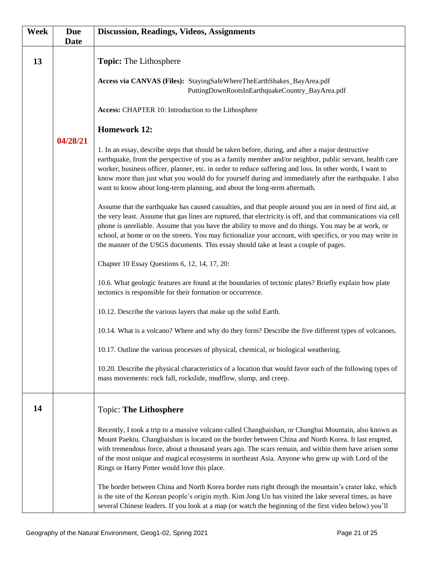| Week | <b>Due</b><br><b>Date</b> | <b>Discussion, Readings, Videos, Assignments</b>                                                                                                                                                                                                                                                                                                                                                                                                                                                                                       |
|------|---------------------------|----------------------------------------------------------------------------------------------------------------------------------------------------------------------------------------------------------------------------------------------------------------------------------------------------------------------------------------------------------------------------------------------------------------------------------------------------------------------------------------------------------------------------------------|
| 13   |                           | <b>Topic:</b> The Lithosphere                                                                                                                                                                                                                                                                                                                                                                                                                                                                                                          |
|      |                           | Access via CANVAS (Files): StayingSafeWhereTheEarthShakes_BayArea.pdf<br>PuttingDownRootsInEarthquakeCountry_BayArea.pdf                                                                                                                                                                                                                                                                                                                                                                                                               |
|      |                           | Access: CHAPTER 10: Introduction to the Lithosphere                                                                                                                                                                                                                                                                                                                                                                                                                                                                                    |
|      |                           | <b>Homework 12:</b>                                                                                                                                                                                                                                                                                                                                                                                                                                                                                                                    |
|      | 04/28/21                  | 1. In an essay, describe steps that should be taken before, during, and after a major destructive<br>earthquake, from the perspective of you as a family member and/or neighbor, public servant, health care<br>worker, business officer, planner, etc. in order to reduce suffering and loss. In other words, I want to<br>know more than just what you would do for yourself during and immediately after the earthquake. I also<br>want to know about long-term planning, and about the long-term aftermath.                        |
|      |                           | Assume that the earthquake has caused casualties, and that people around you are in need of first aid, at<br>the very least. Assume that gas lines are ruptured, that electricity is off, and that communications via cell<br>phone is unreliable. Assume that you have the ability to move and do things. You may be at work, or<br>school, at home or on the streets. You may fictionalize your account, with specifics, or you may write in<br>the manner of the USGS documents. This essay should take at least a couple of pages. |
|      |                           | Chapter 10 Essay Questions 6, 12, 14, 17, 20:                                                                                                                                                                                                                                                                                                                                                                                                                                                                                          |
|      |                           | 10.6. What geologic features are found at the boundaries of tectonic plates? Briefly explain how plate<br>tectonics is responsible for their formation or occurrence.                                                                                                                                                                                                                                                                                                                                                                  |
|      |                           | 10.12. Describe the various layers that make up the solid Earth.                                                                                                                                                                                                                                                                                                                                                                                                                                                                       |
|      |                           | 10.14. What is a volcano? Where and why do they form? Describe the five different types of volcanoes.                                                                                                                                                                                                                                                                                                                                                                                                                                  |
|      |                           | 10.17. Outline the various processes of physical, chemical, or biological weathering.                                                                                                                                                                                                                                                                                                                                                                                                                                                  |
|      |                           | 10.20. Describe the physical characteristics of a location that would favor each of the following types of<br>mass movements: rock fall, rockslide, mudflow, slump, and creep.                                                                                                                                                                                                                                                                                                                                                         |
| 14   |                           | <b>Topic: The Lithosphere</b>                                                                                                                                                                                                                                                                                                                                                                                                                                                                                                          |
|      |                           | Recently, I took a trip to a massive volcano called Changbaishan, or Changbai Mountain, also known as<br>Mount Paektu. Changbaishan is located on the border between China and North Korea. It last erupted,<br>with tremendous force, about a thousand years ago. The scars remain, and within them have arisen some<br>of the most unique and magical ecosystems in northeast Asia. Anyone who grew up with Lord of the<br>Rings or Harry Potter would love this place.                                                              |
|      |                           | The border between China and North Korea border runs right through the mountain's crater lake, which<br>is the site of the Korean people's origin myth. Kim Jong Un has visited the lake several times, as have<br>several Chinese leaders. If you look at a map (or watch the beginning of the first video below) you'll                                                                                                                                                                                                              |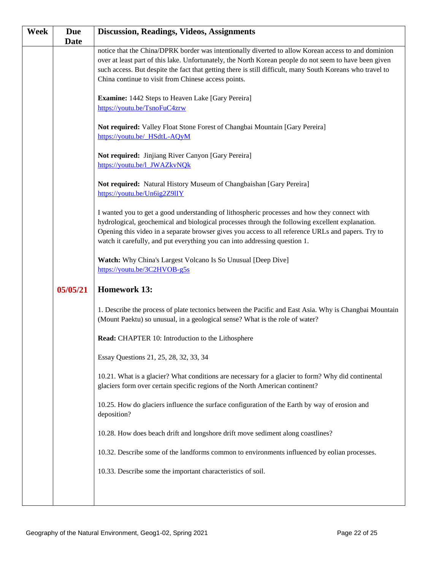| Week | <b>Due</b>  | <b>Discussion, Readings, Videos, Assignments</b>                                                                                                                                                                                                                                                                                                                                    |
|------|-------------|-------------------------------------------------------------------------------------------------------------------------------------------------------------------------------------------------------------------------------------------------------------------------------------------------------------------------------------------------------------------------------------|
|      | <b>Date</b> |                                                                                                                                                                                                                                                                                                                                                                                     |
|      |             | notice that the China/DPRK border was intentionally diverted to allow Korean access to and dominion<br>over at least part of this lake. Unfortunately, the North Korean people do not seem to have been given<br>such access. But despite the fact that getting there is still difficult, many South Koreans who travel to<br>China continue to visit from Chinese access points.   |
|      |             | <b>Examine:</b> 1442 Steps to Heaven Lake [Gary Pereira]<br>https://youtu.be/TsnoFuC4zrw                                                                                                                                                                                                                                                                                            |
|      |             | Not required: Valley Float Stone Forest of Changbai Mountain [Gary Pereira]<br>https://youtu.be/ HSdtL-AQyM                                                                                                                                                                                                                                                                         |
|      |             | Not required: Jinjiang River Canyon [Gary Pereira]<br>https://youtu.be/l JWAZkvNQk                                                                                                                                                                                                                                                                                                  |
|      |             | Not required: Natural History Museum of Changbaishan [Gary Pereira]<br>https://youtu.be/Un6ig2Z9lIY                                                                                                                                                                                                                                                                                 |
|      |             | I wanted you to get a good understanding of lithospheric processes and how they connect with<br>hydrological, geochemical and biological processes through the following excellent explanation.<br>Opening this video in a separate browser gives you access to all reference URLs and papers. Try to<br>watch it carefully, and put everything you can into addressing question 1. |
|      |             | Watch: Why China's Largest Volcano Is So Unusual [Deep Dive]<br>https://youtu.be/3C2HVOB-g5s                                                                                                                                                                                                                                                                                        |
|      | 05/05/21    | <b>Homework 13:</b>                                                                                                                                                                                                                                                                                                                                                                 |
|      |             | 1. Describe the process of plate tectonics between the Pacific and East Asia. Why is Changbai Mountain<br>(Mount Paektu) so unusual, in a geological sense? What is the role of water?                                                                                                                                                                                              |
|      |             | Read: CHAPTER 10: Introduction to the Lithosphere                                                                                                                                                                                                                                                                                                                                   |
|      |             | Essay Questions 21, 25, 28, 32, 33, 34                                                                                                                                                                                                                                                                                                                                              |
|      |             | 10.21. What is a glacier? What conditions are necessary for a glacier to form? Why did continental<br>glaciers form over certain specific regions of the North American continent?                                                                                                                                                                                                  |
|      |             | 10.25. How do glaciers influence the surface configuration of the Earth by way of erosion and<br>deposition?                                                                                                                                                                                                                                                                        |
|      |             | 10.28. How does beach drift and longshore drift move sediment along coastlines?                                                                                                                                                                                                                                                                                                     |
|      |             | 10.32. Describe some of the landforms common to environments influenced by eolian processes.                                                                                                                                                                                                                                                                                        |
|      |             | 10.33. Describe some the important characteristics of soil.                                                                                                                                                                                                                                                                                                                         |
|      |             |                                                                                                                                                                                                                                                                                                                                                                                     |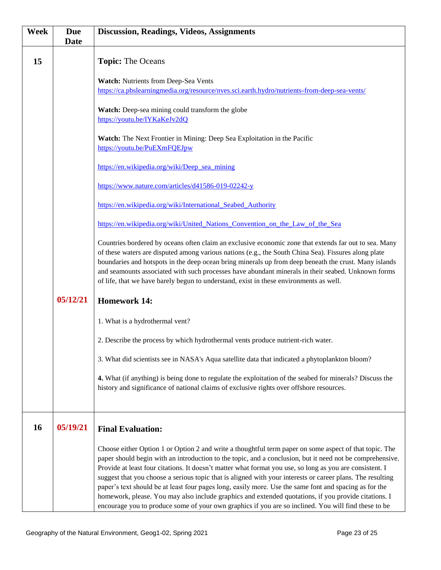| <b>Week</b> | <b>Due</b><br><b>Date</b> | <b>Discussion, Readings, Videos, Assignments</b>                                                                                                                                                                                                                                                                                                                                                                                                                                                                                                                                                                                                                                                                                                                        |
|-------------|---------------------------|-------------------------------------------------------------------------------------------------------------------------------------------------------------------------------------------------------------------------------------------------------------------------------------------------------------------------------------------------------------------------------------------------------------------------------------------------------------------------------------------------------------------------------------------------------------------------------------------------------------------------------------------------------------------------------------------------------------------------------------------------------------------------|
| 15          |                           | <b>Topic: The Oceans</b>                                                                                                                                                                                                                                                                                                                                                                                                                                                                                                                                                                                                                                                                                                                                                |
|             |                           | Watch: Nutrients from Deep-Sea Vents<br>https://ca.pbslearningmedia.org/resource/nves.sci.earth.hydro/nutrients-from-deep-sea-vents/                                                                                                                                                                                                                                                                                                                                                                                                                                                                                                                                                                                                                                    |
|             |                           | Watch: Deep-sea mining could transform the globe<br>https://youtu.be/IYKaKeJv2dQ                                                                                                                                                                                                                                                                                                                                                                                                                                                                                                                                                                                                                                                                                        |
|             |                           | Watch: The Next Frontier in Mining: Deep Sea Exploitation in the Pacific<br>https://youtu.be/PuEXmFQEJpw                                                                                                                                                                                                                                                                                                                                                                                                                                                                                                                                                                                                                                                                |
|             |                           | https://en.wikipedia.org/wiki/Deep sea mining                                                                                                                                                                                                                                                                                                                                                                                                                                                                                                                                                                                                                                                                                                                           |
|             |                           | https://www.nature.com/articles/d41586-019-02242-y                                                                                                                                                                                                                                                                                                                                                                                                                                                                                                                                                                                                                                                                                                                      |
|             |                           | https://en.wikipedia.org/wiki/International_Seabed_Authority                                                                                                                                                                                                                                                                                                                                                                                                                                                                                                                                                                                                                                                                                                            |
|             |                           | https://en.wikipedia.org/wiki/United Nations Convention on the Law of the Sea                                                                                                                                                                                                                                                                                                                                                                                                                                                                                                                                                                                                                                                                                           |
|             |                           | Countries bordered by oceans often claim an exclusive economic zone that extends far out to sea. Many<br>of these waters are disputed among various nations (e.g., the South China Sea). Fissures along plate<br>boundaries and hotspots in the deep ocean bring minerals up from deep beneath the crust. Many islands<br>and seamounts associated with such processes have abundant minerals in their seabed. Unknown forms<br>of life, that we have barely begun to understand, exist in these environments as well.                                                                                                                                                                                                                                                  |
|             | 05/12/21                  | <b>Homework 14:</b>                                                                                                                                                                                                                                                                                                                                                                                                                                                                                                                                                                                                                                                                                                                                                     |
|             |                           | 1. What is a hydrothermal vent?                                                                                                                                                                                                                                                                                                                                                                                                                                                                                                                                                                                                                                                                                                                                         |
|             |                           | 2. Describe the process by which hydrothermal vents produce nutrient-rich water.                                                                                                                                                                                                                                                                                                                                                                                                                                                                                                                                                                                                                                                                                        |
|             |                           | 3. What did scientists see in NASA's Aqua satellite data that indicated a phytoplankton bloom?                                                                                                                                                                                                                                                                                                                                                                                                                                                                                                                                                                                                                                                                          |
|             |                           | 4. What (if anything) is being done to regulate the exploitation of the seabed for minerals? Discuss the<br>history and significance of national claims of exclusive rights over offshore resources.                                                                                                                                                                                                                                                                                                                                                                                                                                                                                                                                                                    |
| 16          | 05/19/21                  | <b>Final Evaluation:</b>                                                                                                                                                                                                                                                                                                                                                                                                                                                                                                                                                                                                                                                                                                                                                |
|             |                           | Choose either Option 1 or Option 2 and write a thoughtful term paper on some aspect of that topic. The<br>paper should begin with an introduction to the topic, and a conclusion, but it need not be comprehensive.<br>Provide at least four citations. It doesn't matter what format you use, so long as you are consistent. I<br>suggest that you choose a serious topic that is aligned with your interests or career plans. The resulting<br>paper's text should be at least four pages long, easily more. Use the same font and spacing as for the<br>homework, please. You may also include graphics and extended quotations, if you provide citations. I<br>encourage you to produce some of your own graphics if you are so inclined. You will find these to be |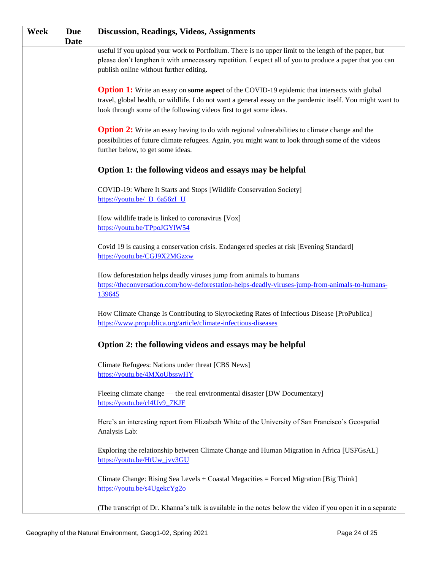| Week | <b>Due</b>  | <b>Discussion, Readings, Videos, Assignments</b>                                                                          |
|------|-------------|---------------------------------------------------------------------------------------------------------------------------|
|      | <b>Date</b> |                                                                                                                           |
|      |             | useful if you upload your work to Portfolium. There is no upper limit to the length of the paper, but                     |
|      |             | please don't lengthen it with unnecessary repetition. I expect all of you to produce a paper that you can                 |
|      |             | publish online without further editing.                                                                                   |
|      |             |                                                                                                                           |
|      |             | <b>Option 1:</b> Write an essay on some aspect of the COVID-19 epidemic that intersects with global                       |
|      |             | travel, global health, or wildlife. I do not want a general essay on the pandemic itself. You might want to               |
|      |             | look through some of the following videos first to get some ideas.                                                        |
|      |             |                                                                                                                           |
|      |             | <b>Option 2:</b> Write an essay having to do with regional vulnerabilities to climate change and the                      |
|      |             | possibilities of future climate refugees. Again, you might want to look through some of the videos                        |
|      |             | further below, to get some ideas.                                                                                         |
|      |             | Option 1: the following videos and essays may be helpful                                                                  |
|      |             | COVID-19: Where It Starts and Stops [Wildlife Conservation Society]                                                       |
|      |             | https://youtu.be/ D 6a56zI U                                                                                              |
|      |             |                                                                                                                           |
|      |             | How wildlife trade is linked to coronavirus [Vox]                                                                         |
|      |             | https://youtu.be/TPpoJGYlW54                                                                                              |
|      |             |                                                                                                                           |
|      |             | Covid 19 is causing a conservation crisis. Endangered species at risk [Evening Standard]                                  |
|      |             | https://youtu.be/CGJ9X2MGzxw                                                                                              |
|      |             | How deforestation helps deadly viruses jump from animals to humans                                                        |
|      |             | https://theconversation.com/how-deforestation-helps-deadly-viruses-jump-from-animals-to-humans-                           |
|      |             | 139645                                                                                                                    |
|      |             |                                                                                                                           |
|      |             | How Climate Change Is Contributing to Skyrocketing Rates of Infectious Disease [ProPublica]                               |
|      |             | https://www.propublica.org/article/climate-infectious-diseases                                                            |
|      |             |                                                                                                                           |
|      |             | Option 2: the following videos and essays may be helpful                                                                  |
|      |             |                                                                                                                           |
|      |             | Climate Refugees: Nations under threat [CBS News]<br>https://youtu.be/4MXoUbsswHY                                         |
|      |             |                                                                                                                           |
|      |             | Fleeing climate change — the real environmental disaster [DW Documentary]                                                 |
|      |             | https://youtu.be/cl4Uv9_7KJE                                                                                              |
|      |             |                                                                                                                           |
|      |             | Here's an interesting report from Elizabeth White of the University of San Francisco's Geospatial                         |
|      |             | Analysis Lab:                                                                                                             |
|      |             |                                                                                                                           |
|      |             | Exploring the relationship between Climate Change and Human Migration in Africa [USFGsAL]<br>https://youtu.be/HtUw_jvv3GU |
|      |             |                                                                                                                           |
|      |             | Climate Change: Rising Sea Levels + Coastal Megacities = Forced Migration [Big Think]                                     |
|      |             | https://youtu.be/s4UgekcYg2o                                                                                              |
|      |             |                                                                                                                           |
|      |             | (The transcript of Dr. Khanna's talk is available in the notes below the video if you open it in a separate               |